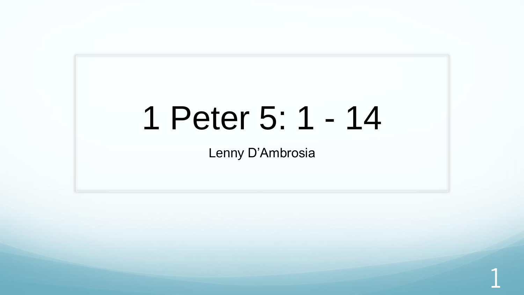# 1 Peter 5: 1 - 14

Lenny D'Ambrosia

1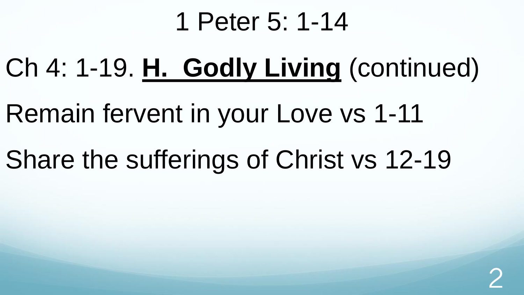### 1 Peter 5: 1-14

Ch 4: 1-19. **H. Godly Living** (continued)

Remain fervent in your Love vs 1-11

Share the sufferings of Christ vs 12-19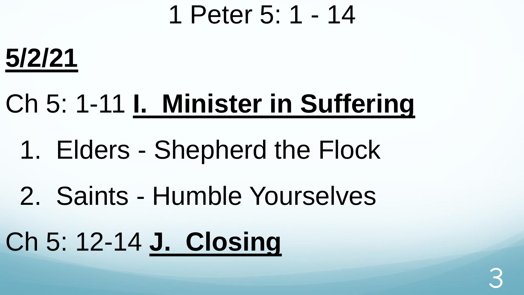### 1 Peter 5: 1 - 14

3



# Ch 5: 1-11 **I. Minister in Suffering**

- 1. Elders Shepherd the Flock
- 2. Saints Humble Yourselves
- Ch 5: 12-14 **J. Closing**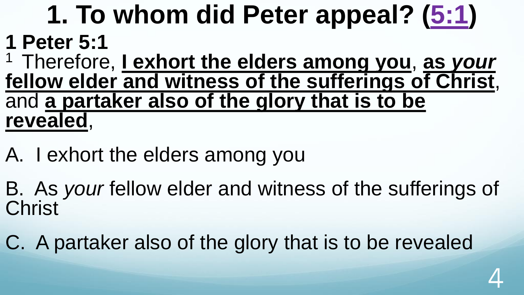# **1. To whom did Peter appeal? ([5:1\)](http://www.crossbooks.com/verse.asp?ref=1Pe+5%3A1)**

#### **1 Peter 5:1**

<sup>1</sup>Therefore, **I exhort the elders among you**, **as** *your* **fellow elder and witness of the sufferings of Christ**, and **a partaker also of the glory that is to be revealed**,

A. I exhort the elders among you

B. As *your* fellow elder and witness of the sufferings of **Christ** 

C. A partaker also of the glory that is to be revealed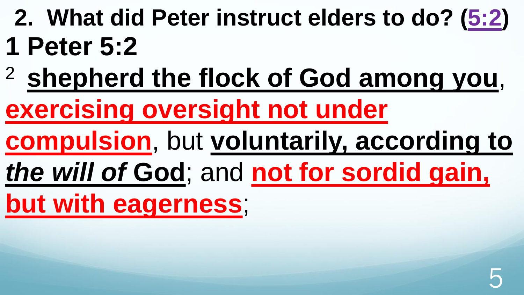- **2. What did Peter instruct elders to do? [\(5:2](http://www.crossbooks.com/verse.asp?ref=1Pe+5%3A2)) 1 Peter 5:2**
- <sup>2</sup>**shepherd the flock of God among you**,

**exercising oversight not under** 

**compulsion**, but **voluntarily, according to** 

*the will of* **God**; and **not for sordid gain,** 

**but with eagerness**;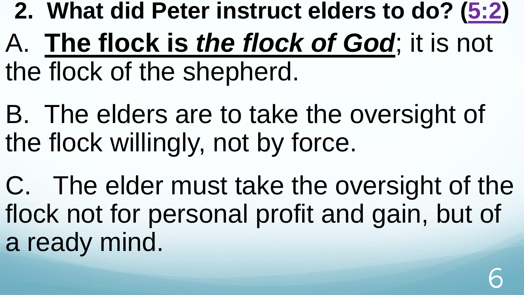- **2. What did Peter instruct elders to do? [\(5:2](http://www.crossbooks.com/verse.asp?ref=1Pe+5%3A2))**
- A. **The flock is** *the flock of God*; it is not the flock of the shepherd.
- B. The elders are to take the oversight of the flock willingly, not by force.
- C. The elder must take the oversight of the flock not for personal profit and gain, but of a ready mind.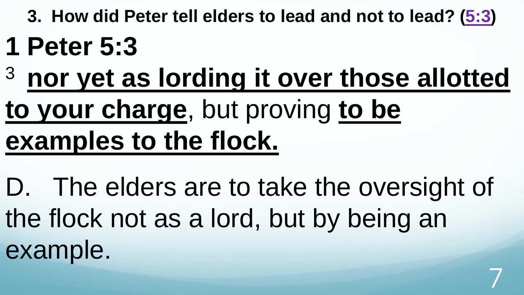**3. How did Peter tell elders to lead and not to lead? [\(5:3](http://www.crossbooks.com/verse.asp?ref=1Pe+5%3A3))** 

### **1 Peter 5:3**

<sup>3</sup>**nor yet as lording it over those allotted** 

# **to your charge**, but proving **to be examples to the flock.**

D. The elders are to take the oversight of the flock not as a lord, but by being an example.

7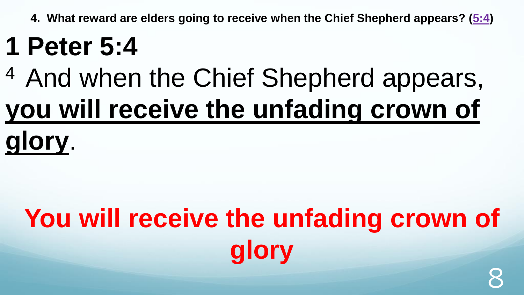# **1 Peter 5:4**

# <sup>4</sup> And when the Chief Shepherd appears, **you will receive the unfading crown of glory**.

# **You will receive the unfading crown of glory** 8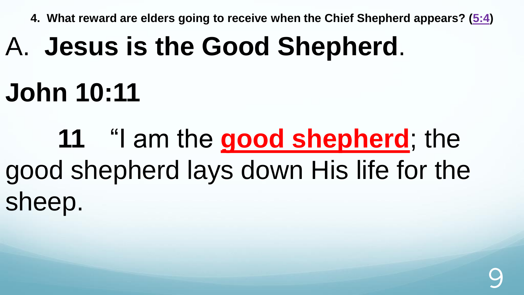# A. **Jesus is the Good Shepherd**.

## **John 10:11**

**11** "I am the **good shepherd**; the good shepherd lays down His life for the sheep.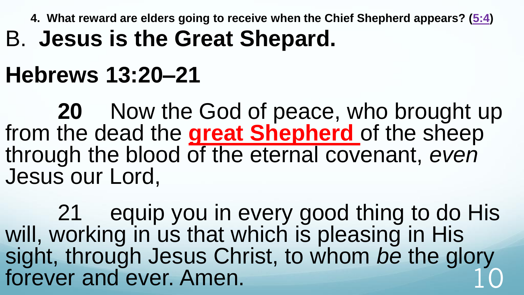#### B. **Jesus is the Great Shepard.**

#### **Hebrews 13:20–21**

**20** Now the God of peace, who brought up from the dead the **great Shepherd** of the sheep through the blood of the eternal covenant, *even* Jesus our Lord,

21 equip you in every good thing to do His will, working in us that which is pleasing in His sight, through Jesus Christ, to whom *be* the glory forever and ever. Amen. 10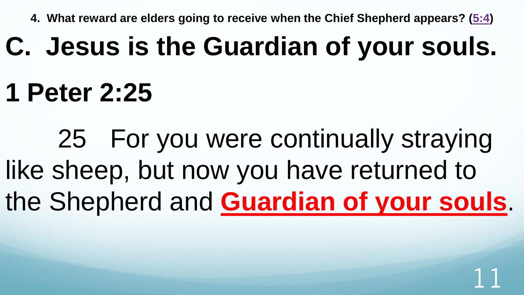## **C. Jesus is the Guardian of your souls.**

## **1 Peter 2:25**

25 For you were continually straying like sheep, but now you have returned to the Shepherd and **Guardian of your souls**.

11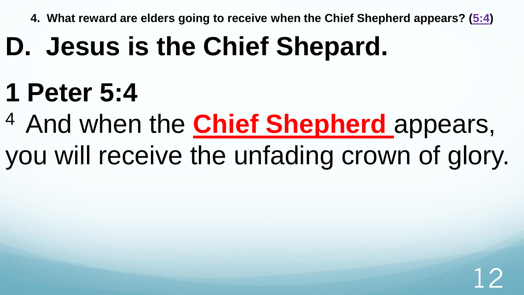# **D. Jesus is the Chief Shepard.**

# **1 Peter 5:4**

- <sup>4</sup> And when the **Chief Shepherd** appears,
- you will receive the unfading crown of glory.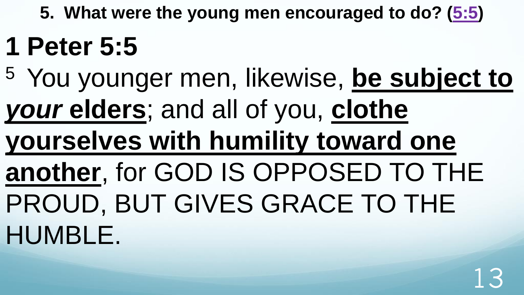**5. What were the young men encouraged to do? [\(5:5](http://www.crossbooks.com/verse.asp?ref=1Pe+5%3A5))** 

# **1 Peter 5:5**

- <sup>5</sup>You younger men, likewise, **be subject to**  *your* **elders**; and all of you, **clothe yourselves with humility toward one another**, for GOD IS OPPOSED TO THE PROUD, BUT GIVES GRACE TO THE
- HUMBLE.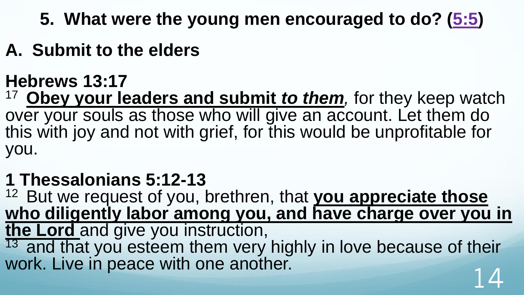- **5. What were the young men encouraged to do? [\(5:5](http://www.crossbooks.com/verse.asp?ref=1Pe+5%3A5))**
- **A. Submit to the elders**

#### **Hebrews 13:17**

<sup>17</sup>**Obey your leaders and submit** *to them,* for they keep watch over your souls as those who will give an account. Let them do this with joy and not with grief, for this would be unprofitable for you.

#### **1 Thessalonians 5:12-13**

<sup>12</sup> But we request of you, brethren, that you appreciate those who diligently labor among you, and have charge over you in **the Lord** and give you instruction,  $13$  and that you esteem them very highly in love because of their work. Live in peace with one another.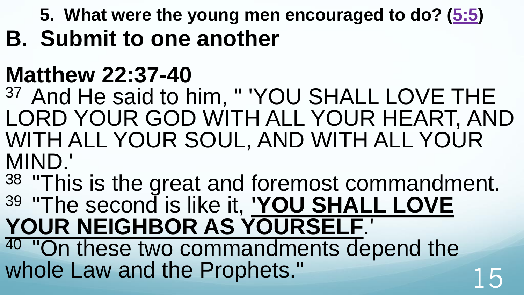**5. What were the young men encouraged to do? [\(5:5](http://www.crossbooks.com/verse.asp?ref=1Pe+5%3A5)) B. Submit to one another**

### **Matthew 22:37-40**

37 And He said to him, " 'YOU SHALL LOVE THE LORD YOUR GOD WITH ALL YOUR HEART, AND WITH ALL YOUR SOUL, AND WITH ALL YOUR MIND.'

38 "This is the great and foremost commandment. <sup>39</sup>"The second is like it, **'YOU SHALL LOVE YOUR NEIGHBOR AS YOURSELF**.'

"On these two commandments depend the whole Law and the Prophets."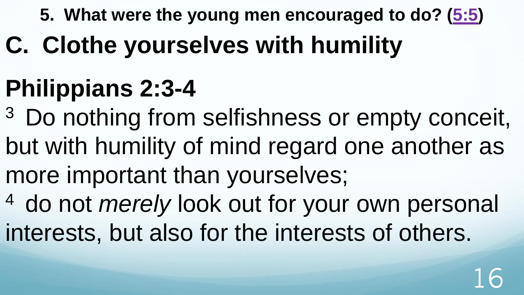**5. What were the young men encouraged to do? [\(5:5](http://www.crossbooks.com/verse.asp?ref=1Pe+5%3A5))** 

**C. Clothe yourselves with humility**

# **Philippians 2:3-4**

- <sup>3</sup> Do nothing from selfishness or empty conceit, but with humility of mind regard one another as more important than yourselves;
- <sup>4</sup> do not *merely* look out for your own personal interests, but also for the interests of others.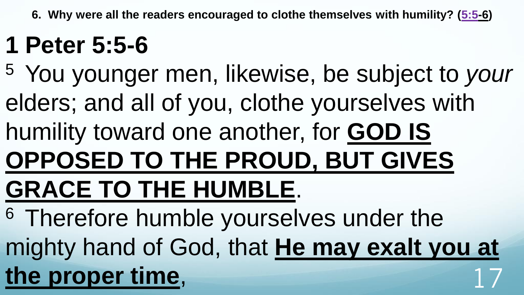**6. Why were all the readers encouraged to clothe themselves with humility? ([5:5](http://www.crossbooks.com/verse.asp?ref=1Pe+5%3A5)-6)**

### **1 Peter 5:5-6**

<sup>5</sup>You younger men, likewise, be subject to *your* elders; and all of you, clothe yourselves with humility toward one another, for **GOD IS OPPOSED TO THE PROUD, BUT GIVES GRACE TO THE HUMBLE**. <sup>6</sup> Therefore humble yourselves under the

mighty hand of God, that **He may exalt you at**  the proper time,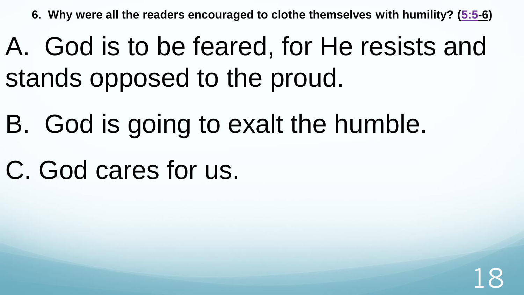**6. Why were all the readers encouraged to clothe themselves with humility? ([5:5](http://www.crossbooks.com/verse.asp?ref=1Pe+5%3A5)-6)**

### A. God is to be feared, for He resists and stands opposed to the proud.

- B. God is going to exalt the humble.
- C. God cares for us.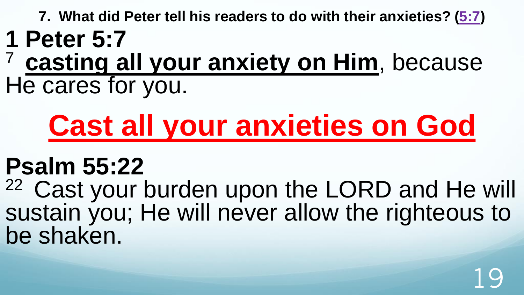**7. What did Peter tell his readers to do with their anxieties? [\(5:7](http://www.crossbooks.com/verse.asp?ref=1Pe+5%3A7))** 

- **1 Peter 5:7**
- <sup>7</sup>**casting all your anxiety on Him**, because He cares for you.

# **Cast all your anxieties on God**

### **Psalm 55:22**

<sup>22</sup> Cast your burden upon the LORD and He will sustain you; He will never allow the righteous to be shaken.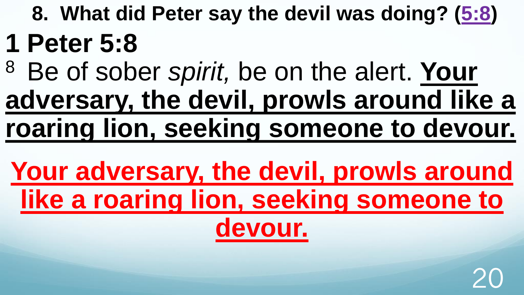- **8. What did Peter say the devil was doing? ([5:8\)](http://www.crossbooks.com/verse.asp?ref=1Pe+5%3A8) 1 Peter 5:8**
- <sup>8</sup>Be of sober *spirit,* be on the alert. **Your adversary, the devil, prowls around like a roaring lion, seeking someone to devour.**
	- **Your adversary, the devil, prowls around like a roaring lion, seeking someone to devour.**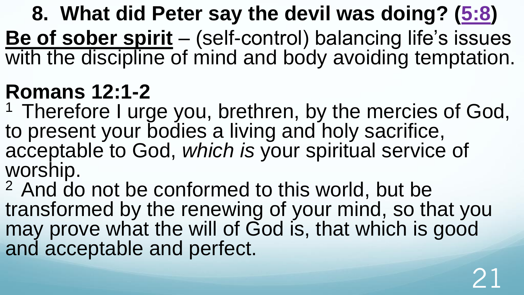**8. What did Peter say the devil was doing? ([5:8\)](http://www.crossbooks.com/verse.asp?ref=1Pe+5%3A8) Be of sober spirit** – (self-control) balancing life's issues with the discipline of mind and body avoiding temptation.

### **Romans 12:1-2**

<sup>1</sup> Therefore I urge you, brethren, by the mercies of God, to present your bodies a living and holy sacrifice, acceptable to God, *which is* your spiritual service of worship.

<sup>2</sup> And do not be conformed to this world, but be transformed by the renewing of your mind, so that you may prove what the will of God is, that which is good and acceptable and perfect.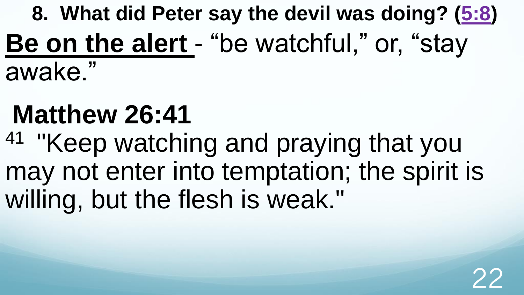### **8. What did Peter say the devil was doing? ([5:8\)](http://www.crossbooks.com/verse.asp?ref=1Pe+5%3A8) Be on the alert** - "be watchful," or, "stay awake."

## **Matthew 26:41**

<sup>41</sup> "Keep watching and praying that you may not enter into temptation; the spirit is willing, but the flesh is weak."

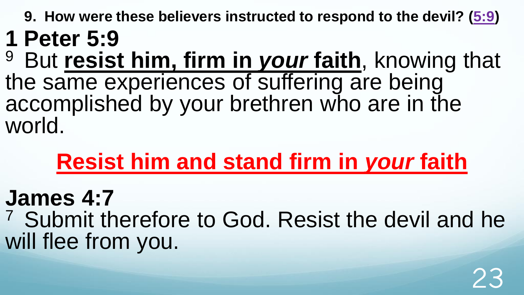**9. How were these believers instructed to respond to the devil? ([5:9\)](http://www.crossbooks.com/verse.asp?ref=1Pe+5%3A9) 1 Peter 5:9**

<sup>9</sup> But **resist him, firm in your faith**, knowing that the same experiences of suffering are being accomplished by your brethren who are in the world.

### **Resist him and stand firm in** *your* **faith**

#### **James 4:7**

<sup>7</sup> Submit therefore to God. Resist the devil and he will flee from you.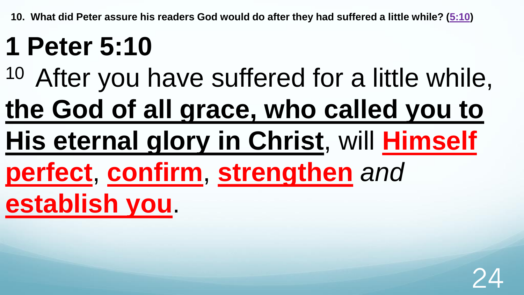# **1 Peter 5:10**

<sup>10</sup> After you have suffered for a little while, **the God of all grace, who called you to His eternal glory in Christ**, will **Himself** 

**perfect**, **confirm**, **strengthen** *and*

**establish you**.

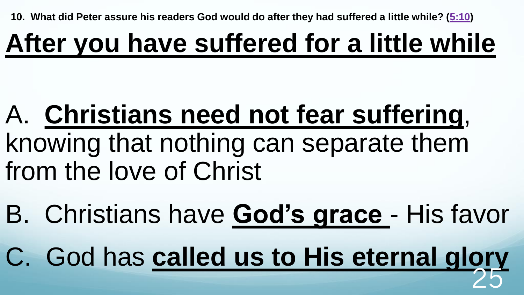# **After you have suffered for a little while**

### A. **Christians need not fear suffering**, knowing that nothing can separate them from the love of Christ

B. Christians have **God's grace** - His favor

C. God has **called us to His eternal glory** 25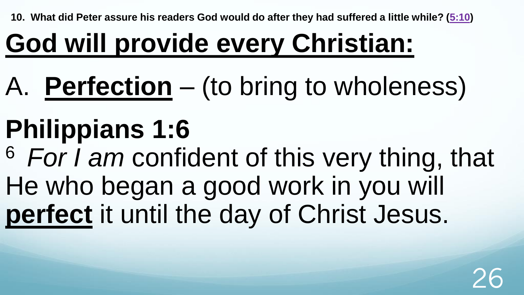# **God will provide every Christian:**

# A. **Perfection** – (to bring to wholeness)

# **Philippians 1:6**

<sup>6</sup>*For I am* confident of this very thing, that He who began a good work in you will **perfect** it until the day of Christ Jesus.

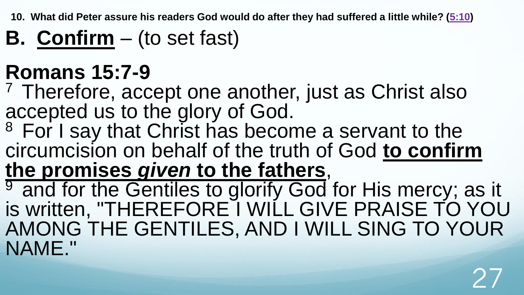**B. Confirm** – (to set fast)

#### **Romans 15:7-9**

 $<sup>7</sup>$  Therefore, accept one another, just as Christ also</sup> accepted us to the glory of God.

<sup>8</sup> For I say that Christ has become a servant to the circumcision on behalf of the truth of God **to confirm the promises** *given* **to the fathers**,

<sup>9</sup> and for the Gentiles to glorify God for His mercy; as it is written, "THEREFORE I WILL GIVE PRAISE TO YOU AMONG THE GENTILES, AND I WILL SING TO YOUR NAME."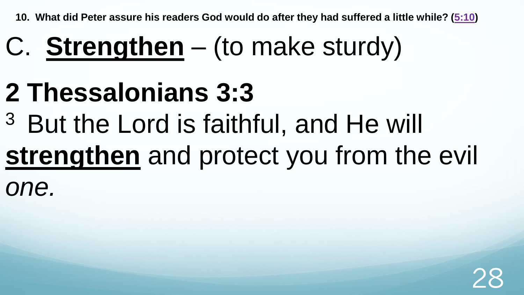# C. **Strengthen** – (to make sturdy)

### **2 Thessalonians 3:3**

<sup>3</sup> But the Lord is faithful, and He will

# **strengthen** and protect you from the evil

*one.*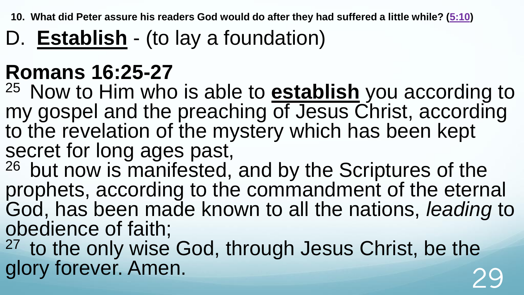D. **Establish** - (to lay a foundation)

#### **Romans 16:25-27**

<sup>25</sup> Now to Him who is able to **establish** you according to my gospel and the preaching of Jesus Christ, according to the revelation of the mystery which has been kept secret for long ages past,

<sup>26</sup> but now is manifested, and by the Scriptures of the prophets, according to the commandment of the eternal God, has been made known to all the nations, *leading* to obedience of faith;

<sup>27</sup> to the only wise God, through Jesus Christ, be the glory forever. Amen.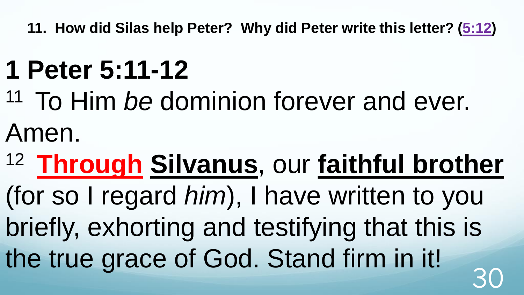# **1 Peter 5:11-12**

- <sup>11</sup> To Him *be* dominion forever and ever. Amen.
- <sup>12</sup>**Through Silvanus**, our **faithful brother**

(for so I regard *him*), I have written to you briefly, exhorting and testifying that this is the true grace of God. Stand firm in it! 30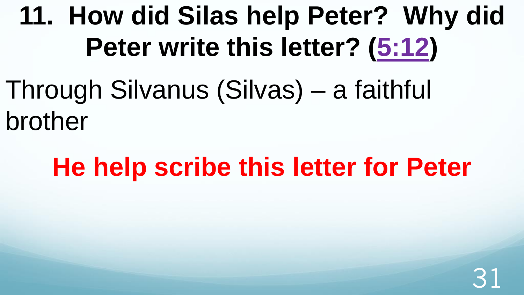Through Silvanus (Silvas) – a faithful brother

### **He help scribe this letter for Peter**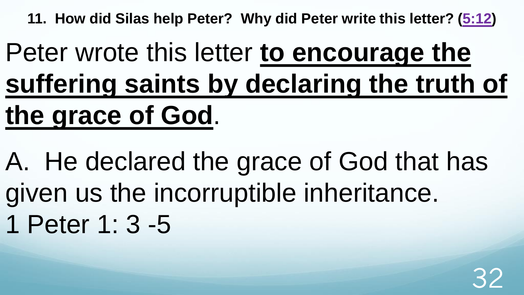# Peter wrote this letter **to encourage the suffering saints by declaring the truth of the grace of God**.

A. He declared the grace of God that has given us the incorruptible inheritance. 1 Peter 1: 3 -5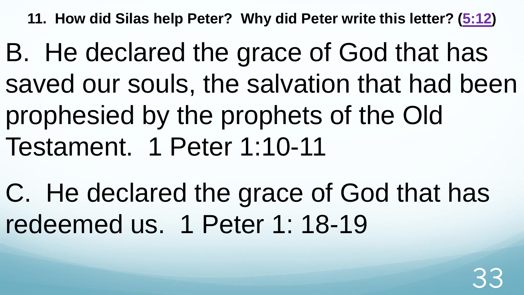B. He declared the grace of God that has saved our souls, the salvation that had been prophesied by the prophets of the Old Testament. 1 Peter 1:10-11

C. He declared the grace of God that has redeemed us. 1 Peter 1: 18-19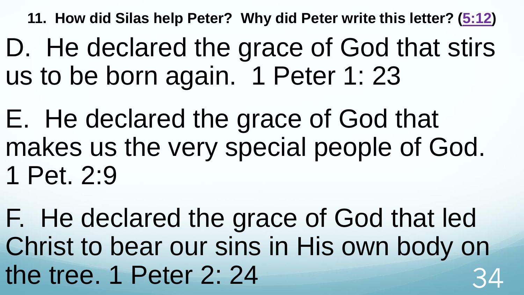D. He declared the grace of God that stirs us to be born again. 1 Peter 1: 23

E. He declared the grace of God that makes us the very special people of God. 1 Pet. 2:9

F. He declared the grace of God that led Christ to bear our sins in His own body on the tree.  $1$  Peter 2: 24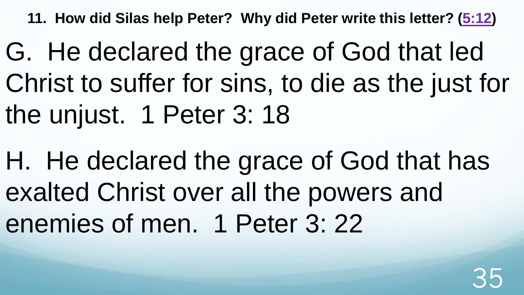G. He declared the grace of God that led Christ to suffer for sins, to die as the just for the unjust. 1 Peter 3: 18

H. He declared the grace of God that has exalted Christ over all the powers and enemies of men. 1 Peter 3: 22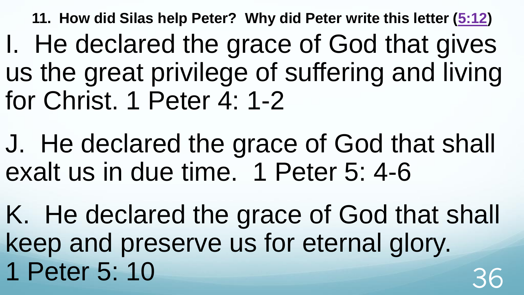- I. He declared the grace of God that gives us the great privilege of suffering and living for Christ. 1 Peter 4: 1-2
- J. He declared the grace of God that shall exalt us in due time. 1 Peter 5: 4-6
- K. He declared the grace of God that shall keep and preserve us for eternal glory. 1 Peter 5: 10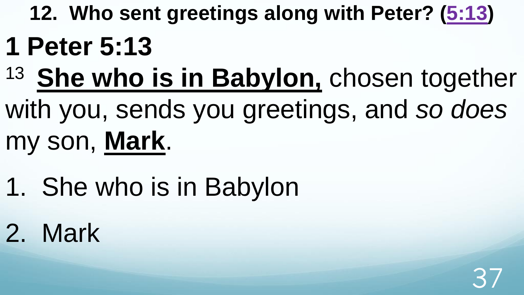- **12. Who sent greetings along with Peter? [\(5:13](http://www.crossbooks.com/verse.asp?ref=1Pe+5%3A13)) 1 Peter 5:13**
- <sup>13</sup> She who is in Babylon, chosen together
- with you, sends you greetings, and *so does* my son, **Mark**.
- 1. She who is in Babylon
- 2. Mark